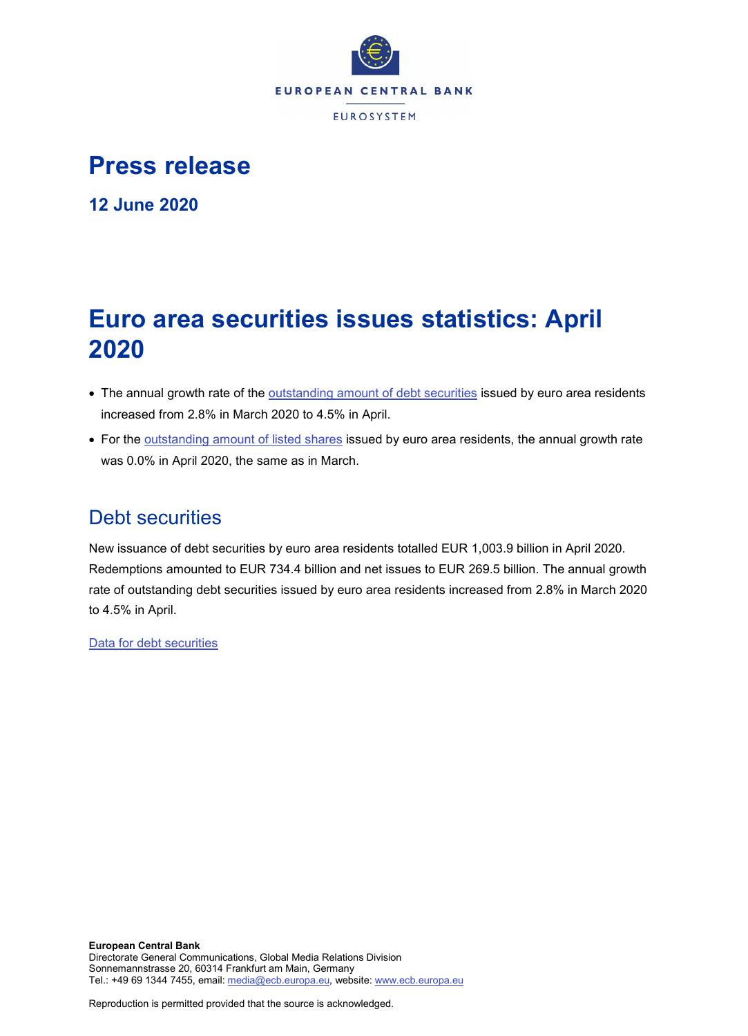

# **Press release**

**12 June 2020**

# **Euro area securities issues statistics: April 2020**

- The annual growth rate of the [outstanding amount of debt securities](http://sdw.ecb.europa.eu/quickview.do?SERIES_KEY=130.SEC.M.I8.1000.F33000.N.I.Z01.A.Z) issued by euro area residents increased from 2.8% in March 2020 to 4.5% in April.
- For the [outstanding amount of listed shares](http://sdw.ecb.europa.eu/quickview.do?SERIES_KEY=130.SEC.M.I8.1000.F51100.M.I.Z01.A.Z) issued by euro area residents, the annual growth rate was 0.0% in April 2020, the same as in March.

# Debt securities

New issuance of debt securities by euro area residents totalled EUR 1,003.9 billion in April 2020. Redemptions amounted to EUR 734.4 billion and net issues to EUR 269.5 billion. The annual growth rate of outstanding debt securities issued by euro area residents increased from 2.8% in March 2020 to 4.5% in April.

[Data for debt securities](http://sdw.ecb.europa.eu/browseSelection.do?type=series&q=SEC.M.I8.1000.F33000.N.2.Z01.E.Z%2c+SEC.M.I8.1000.F33000.N.3.Z01.E.Z%2c+SEC.M.I8.1000.F33000.N.4.Z01.E.Z%2c+SEC.M.I8.1000.F33000.N.I.Z01.A.Z&node=SEARCHRESULTS&ec=&oc=&rc=&cv=&pb=&dc=&df=)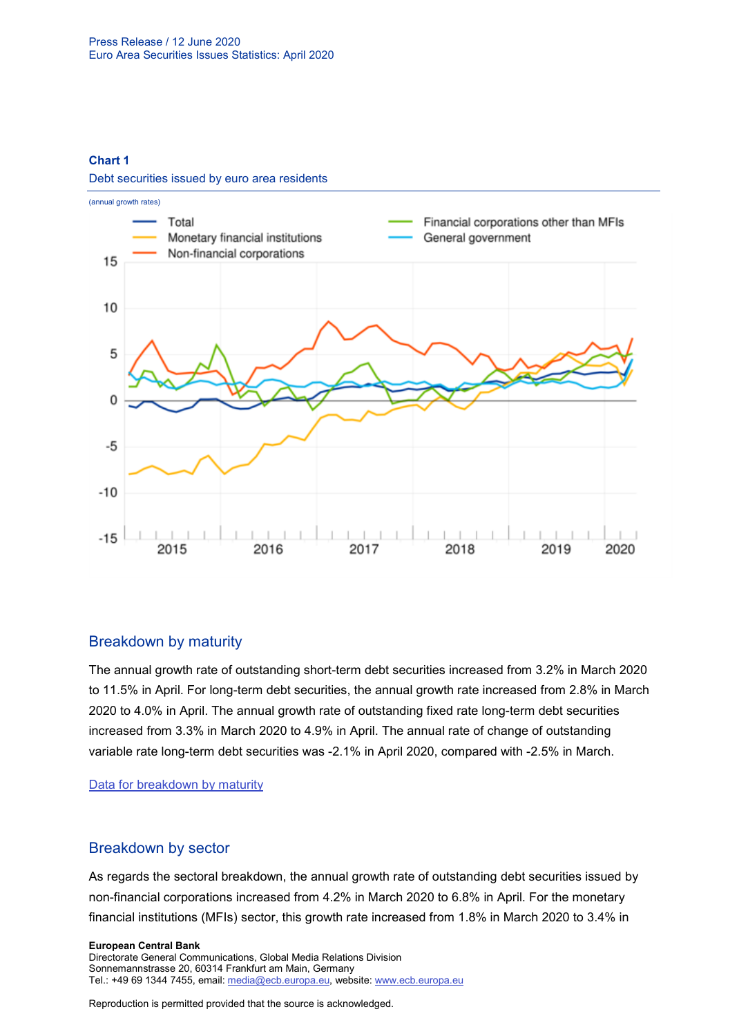### **Chart 1**

Debt securities issued by euro area residents



## Breakdown by maturity

The annual growth rate of outstanding short-term debt securities increased from 3.2% in March 2020 to 11.5% in April. For long-term debt securities, the annual growth rate increased from 2.8% in March 2020 to 4.0% in April. The annual growth rate of outstanding fixed rate long-term debt securities increased from 3.3% in March 2020 to 4.9% in April. The annual rate of change of outstanding variable rate long-term debt securities was -2.1% in April 2020, compared with -2.5% in March.

[Data for breakdown by maturity](http://sdw.ecb.europa.eu/browseSelection.do?type=series&q=SEC.M.I8.1000.F33100.N.I.Z01.A.Z%2c+SEC.M.I8.1000.F33200.N.I.Z01.A.Z%2c+SEC.M.I8.1000.F33201.N.I.Z01.A.Z%2c+SEC.M.I8.1000.F33202.N.I.Z01.A.Z&node=SEARCHRESULTS&ec=&oc=&rc=&cv=&pb=&dc=&df=)

## Breakdown by sector

As regards the sectoral breakdown, the annual growth rate of outstanding debt securities issued by non-financial corporations increased from 4.2% in March 2020 to 6.8% in April. For the monetary financial institutions (MFIs) sector, this growth rate increased from 1.8% in March 2020 to 3.4% in

#### **European Central Bank** Directorate General Communications, Global Media Relations Division

Sonnemannstrasse 20, 60314 Frankfurt am Main, Germany Tel.: +49 69 1344 7455, email[: media@ecb.europa.eu,](mailto:media@ecb.europa.eu) website: www.ecb.europa.eu

Reproduction is permitted provided that the source is acknowledged.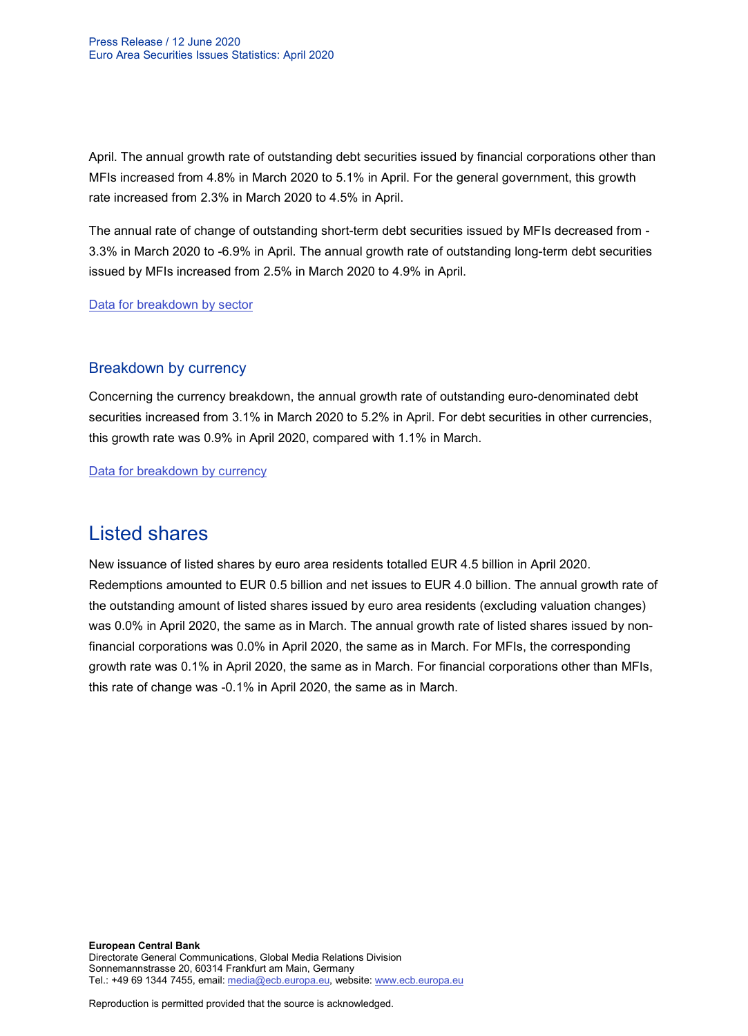April. The annual growth rate of outstanding debt securities issued by financial corporations other than MFIs increased from 4.8% in March 2020 to 5.1% in April. For the general government, this growth rate increased from 2.3% in March 2020 to 4.5% in April.

The annual rate of change of outstanding short-term debt securities issued by MFIs decreased from - 3.3% in March 2020 to -6.9% in April. The annual growth rate of outstanding long-term debt securities issued by MFIs increased from 2.5% in March 2020 to 4.9% in April.

[Data for breakdown by sector](http://sdw.ecb.europa.eu/browseSelection.do?type=series&q=SEC.M.I8.1100.F33000.N.I.Z01.A.Z%2cSEC.M.I8.1220.F33000.N.I.Z01.A.Z%2cSEC.M.I8.1235.F33000.N.I.Z01.A.Z%2cSEC.M.I8.1300.F33000.N.I.Z01.A.Z%2cSEC.M.I8.1220.F33100.N.I.Z01.A.Z%2cSEC.M.I8.1220.F33200.N.I.Z01.A.Z&node=SEARCHRESULTS&ec=&oc=&rc=&cv=&pb=&dc=&df=)

### Breakdown by currency

Concerning the currency breakdown, the annual growth rate of outstanding euro-denominated debt securities increased from 3.1% in March 2020 to 5.2% in April. For debt securities in other currencies, this growth rate was 0.9% in April 2020, compared with 1.1% in March.

[Data for breakdown by currency](http://sdw.ecb.europa.eu/browseSelection.do?type=series&q=SEC.M.I8.1000.F33000.N.I.EUR.A.Z%2cSEC.M.I8.1000.F33000.N.I.Z06.A.Z&node=SEARCHRESULTS&ec=&oc=&rc=&cv=&pb=&dc=&df=)

# Listed shares

New issuance of listed shares by euro area residents totalled EUR 4.5 billion in April 2020. Redemptions amounted to EUR 0.5 billion and net issues to EUR 4.0 billion. The annual growth rate of the outstanding amount of listed shares issued by euro area residents (excluding valuation changes) was 0.0% in April 2020, the same as in March. The annual growth rate of listed shares issued by nonfinancial corporations was 0.0% in April 2020, the same as in March. For MFIs, the corresponding growth rate was 0.1% in April 2020, the same as in March. For financial corporations other than MFIs, this rate of change was -0.1% in April 2020, the same as in March.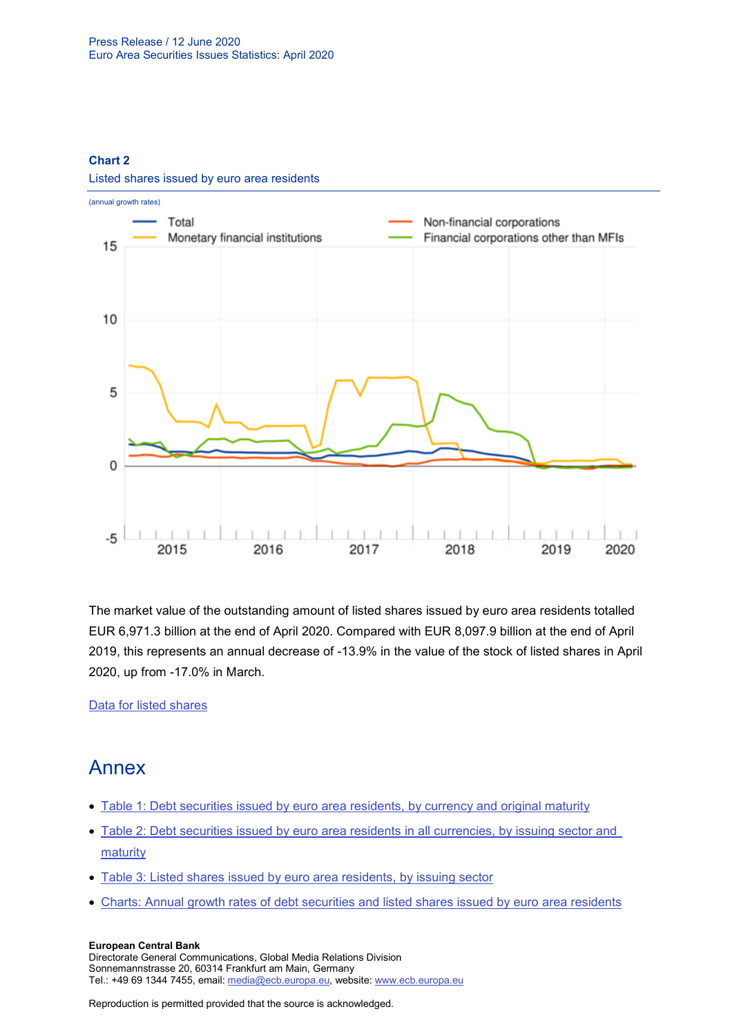### **Chart 2**



Listed shares issued by euro area residents

The market value of the outstanding amount of listed shares issued by euro area residents totalled EUR 6,971.3 billion at the end of April 2020. Compared with EUR 8,097.9 billion at the end of April 2019, this represents an annual decrease of -13.9% in the value of the stock of listed shares in April 2020, up from -17.0% in March.

J.

### [Data for listed shares](http://sdw.ecb.europa.eu/browseSelection.do?type=series&q=SEC.M.I8.1000.F51100.M.2.Z01.E.Z%2cSEC.M.I8.1000.F51100.M.3.Z01.E.Z%2cSEC.M.I8.1000.F51100.M.4.Z01.E.Z%2cSEC.M.I8.1000.F51100.M.I.Z01.A.Z%2cSEC.M.I8.1100.F51100.M.I.Z01.A.Z%2cSEC.M.I8.1220.F51100.M.I.Z01.A.Z%2cSEC.M.I8.1235.F51100.M.I.Z01.A.Z%2cSEC.M.I8.1000.F51100.M.1.Z01.E.Z&node=SEARCHRESULTS&ec=&oc=&rc=&cv=&pb=&dc=&df=)

# Annex

- [Table 1: Debt securities issued by euro area residents, by currency and original maturity](http://sdw.ecb.europa.eu/web/generator/prl/pr_sec_t01_202004.pdf)
- [Table 2: Debt securities issued by euro area residents in all currencies, by issuing sector and](http://sdw.ecb.europa.eu/web/generator/prl/pr_sec_t02_202004.pdf)  **[maturity](http://sdw.ecb.europa.eu/web/generator/prl/pr_sec_t02_202004.pdf)**
- [Table 3: Listed shares issued by euro area residents, by issuing sector](http://sdw.ecb.europa.eu/web/generator/prl/pr_sec_t03_202004.pdf)
- [Charts: Annual growth rates of debt securities and listed shares issued by euro area residents](http://sdw.ecb.europa.eu/web/generator/prl/pr_sec_c01_202004.pdf)

#### **European Central Bank**

Directorate General Communications, Global Media Relations Division Sonnemannstrasse 20, 60314 Frankfurt am Main, Germany Tel.: +49 69 1344 7455, email[: media@ecb.europa.eu,](mailto:media@ecb.europa.eu) website: www.ecb.europa.eu

Reproduction is permitted provided that the source is acknowledged.